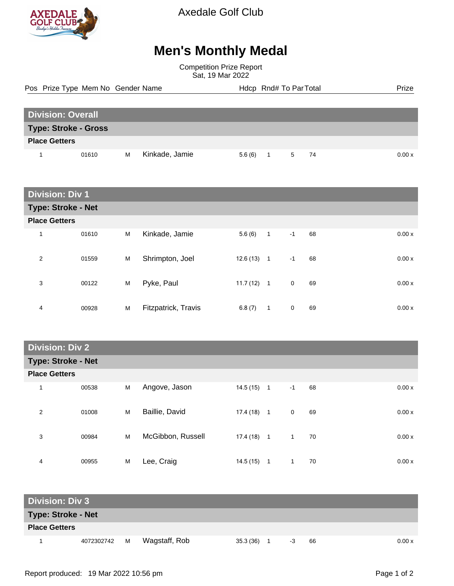

Axedale Golf Club

## **Men's Monthly Medal**

Competition Prize Report Sat, 19 Mar 2022

Pos Prize Type Mem No Gender Name **Health Hotel And America** Hotel Hotel Prize Prize

| <b>Division: Overall</b>    |       |   |                |  |        |  |           |       |
|-----------------------------|-------|---|----------------|--|--------|--|-----------|-------|
| <b>Type: Stroke - Gross</b> |       |   |                |  |        |  |           |       |
| <b>Place Getters</b>        |       |   |                |  |        |  |           |       |
|                             | 01610 | м | Kinkade, Jamie |  | 5.6(6) |  | - 74<br>5 | 0.00x |

| <b>Division: Div 1</b>    |       |   |                     |              |              |             |    |       |
|---------------------------|-------|---|---------------------|--------------|--------------|-------------|----|-------|
| <b>Type: Stroke - Net</b> |       |   |                     |              |              |             |    |       |
| <b>Place Getters</b>      |       |   |                     |              |              |             |    |       |
| 1                         | 01610 | M | Kinkade, Jamie      | 5.6(6)       | $\mathbf{1}$ | $-1$        | 68 | 0.00x |
| 2                         | 01559 | M | Shrimpton, Joel     | $12.6(13)$ 1 |              | $-1$        | 68 | 0.00x |
| 3                         | 00122 | M | Pyke, Paul          | $11.7(12)$ 1 |              | $\mathbf 0$ | 69 | 0.00x |
| 4                         | 00928 | M | Fitzpatrick, Travis | 6.8(7)       | $\mathbf{1}$ | $\mathbf 0$ | 69 | 0.00x |

**Division: Div 2**

|                      | <b>Type: Stroke - Net</b> |   |                   |              |                |             |    |  |        |
|----------------------|---------------------------|---|-------------------|--------------|----------------|-------------|----|--|--------|
| <b>Place Getters</b> |                           |   |                   |              |                |             |    |  |        |
| 1                    | 00538                     | M | Angove, Jason     | 14.5 (15)    | $\overline{1}$ | $-1$        | 68 |  | 0.00x  |
| 2                    | 01008                     | M | Baillie, David    | 17.4 (18)    | $\overline{1}$ | $\mathbf 0$ | 69 |  | 0.00 x |
| 3                    | 00984                     | M | McGibbon, Russell | $17.4(18)$ 1 |                | 1           | 70 |  | 0.00x  |
| 4                    | 00955                     | M | Lee, Craig        | 14.5(15)     | 1              | 1           | 70 |  | 0.00x  |

| <b>Division: Div 3</b>    |              |  |               |              |  |    |    |        |  |
|---------------------------|--------------|--|---------------|--------------|--|----|----|--------|--|
| <b>Type: Stroke - Net</b> |              |  |               |              |  |    |    |        |  |
| <b>Place Getters</b>      |              |  |               |              |  |    |    |        |  |
|                           | 4072302742 M |  | Wagstaff, Rob | $35.3(36)$ 1 |  | -3 | 66 | 0.00 x |  |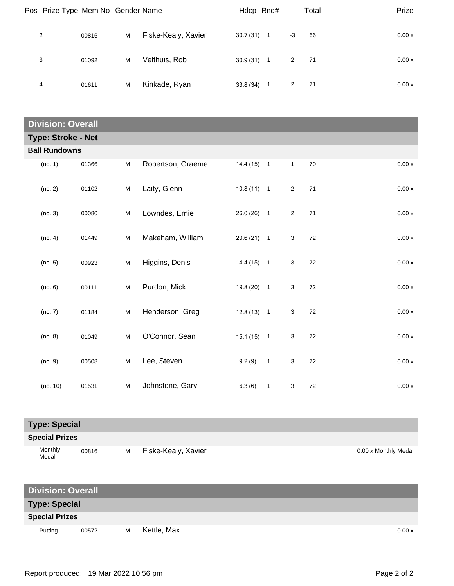| Pos Prize Type Mem No Gender Name |       |   |                     | Hdcp Rnd# |                |      | Total | Prize  |
|-----------------------------------|-------|---|---------------------|-----------|----------------|------|-------|--------|
| 2                                 | 00816 | M | Fiske-Kealy, Xavier | 30.7(31)  | $\overline{1}$ | $-3$ | 66    | 0.00x  |
| 3                                 | 01092 | M | Velthuis, Rob       | 30.9(31)  | - 1            | 2    | -71   | 0.00 x |
| 4                                 | 01611 | M | Kinkade, Ryan       | 33.8(34)  | $\overline{1}$ | 2    | 71    | 0.00x  |

| <b>Division: Overall</b>  |       |           |                   |              |                            |                |    |         |
|---------------------------|-------|-----------|-------------------|--------------|----------------------------|----------------|----|---------|
| <b>Type: Stroke - Net</b> |       |           |                   |              |                            |                |    |         |
| <b>Ball Rundowns</b>      |       |           |                   |              |                            |                |    |         |
| (no. 1)                   | 01366 | M         | Robertson, Graeme | $14.4(15)$ 1 |                            | $\mathbf{1}$   | 70 | $0.00x$ |
| (no. 2)                   | 01102 | ${\sf M}$ | Laity, Glenn      | $10.8(11)$ 1 |                            | $\overline{2}$ | 71 | $0.00x$ |
| (no. 3)                   | 00080 | ${\sf M}$ | Lowndes, Ernie    | $26.0(26)$ 1 |                            | $\overline{2}$ | 71 | 0.00x   |
| (no. 4)                   | 01449 | M         | Makeham, William  | $20.6(21)$ 1 |                            | 3              | 72 | $0.00x$ |
| (no. 5)                   | 00923 | ${\sf M}$ | Higgins, Denis    | $14.4(15)$ 1 |                            | 3              | 72 | 0.00x   |
| (no. 6)                   | 00111 | ${\sf M}$ | Purdon, Mick      | $19.8(20)$ 1 |                            | 3              | 72 | 0.00x   |
| (no. 7)                   | 01184 | M         | Henderson, Greg   | $12.8(13)$ 1 |                            | 3              | 72 | 0.00x   |
| (no. 8)                   | 01049 | M         | O'Connor, Sean    | $15.1(15)$ 1 |                            | 3              | 72 | 0.00x   |
| (no. 9)                   | 00508 | M         | Lee, Steven       | 9.2(9)       | $\overline{1}$             | 3              | 72 | 0.00x   |
| (no. 10)                  | 01531 | M         | Johnstone, Gary   | 6.3(6)       | $\overline{\phantom{0}}$ 1 | 3              | 72 | 0.00x   |

**Special Prizes**

| Monthly<br>Medal | 00816 | м | Fiske-Kealy, Xavier | 0.00 x Monthly Medal |
|------------------|-------|---|---------------------|----------------------|
|------------------|-------|---|---------------------|----------------------|

| <b>Division: Overall</b> |       |   |             |  |  |  |        |
|--------------------------|-------|---|-------------|--|--|--|--------|
| <b>Type: Special</b>     |       |   |             |  |  |  |        |
| <b>Special Prizes</b>    |       |   |             |  |  |  |        |
| Putting                  | 00572 | м | Kettle, Max |  |  |  | 0.00 x |